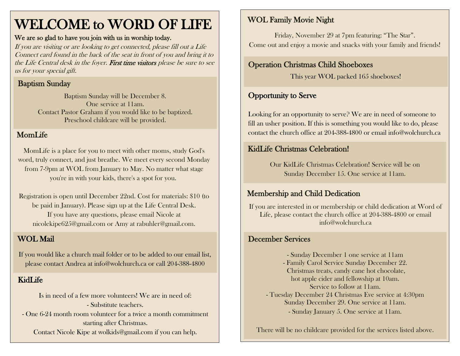# WELCOME to WORD OF LIFE

#### We are so glad to have you join with us in worship today.

If you are visiting or are looking to get connected, please fill out a Life Connect card found in the back of the seat in front of you and bring it to the Life Central desk in the foyer. First time visitors please be sure to see us for your special gift.

### Baptism Sunday

Baptism Sunday will be December 8. One service at 11am. Contact Pastor Graham if you would like to be baptized. Preschool childcare will be provided.

#### MomLife

MomLife is a place for you to meet with other moms, study God's word, truly connect, and just breathe. We meet every second Monday from 7-9pm at WOL from January to May. No matter what stage you're in with your kids, there's a spot for you.

Registration is open until December 22nd. Cost for materials: \$10 (to be paid in January). Please sign up at the Life Central Desk. If you have any questions, please email Nicole at [nicolekipe625@gmail.com](mailto:nicolekipe625@gmail.com) or Amy at [rabuhler@gmail.com.](mailto:rabuhler@gmail.com)

### WOL Mail

If you would like a church mail folder or to be added to our email list, please contact Andrea at [info@wolchurch.ca](mailto:info@wolchurch.ca) or call 204-388-4800

#### KidLife

Is in need of a few more volunteers! We are in need of: - Substitute teachers. - One 6-24 month room volunteer for a twice a month commitment starting after Christmas.

Contact Nicole Kipe at [wolkids@gmail.com](mailto:wolkids@gmail.com) if you can help.

### WOL Family Movie Night

Friday, November 29 at 7pm featuring: "The Star". Come out and enjoy a movie and snacks with your family and friends!

#### Operation Christmas Child Shoeboxes

This year WOL packed 165 shoeboxes!

### Opportunity to Serve

Looking for an opportunity to serve? We are in need of someone to fill an usher position. If this is something you would like to do, please contact the church office at 204-388-4800 or email info@wolchurch.ca

#### KidLife Christmas Celebration!

Our KidLife Christmas Celebration! Service will be on Sunday December 15. One service at 11am.

### Membership and Child Dedication

If you are interested in or membership or child dedication at Word of Life, please contact the church office at 204-388-4800 or email info@wolchurch.ca

#### December Services

- Sunday December 1 one service at 11am - Family Carol Service Sunday December 22. Christmas treats, candy cane hot chocolate, hot apple cider and fellowship at 10am. Service to follow at 11am. - Tuesday December 24 Christmas Eve service at 4:30pm Sunday December 29. One service at 11am. - Sunday January 5. One service at 11am.

There will be no childcare provided for the services listed above.